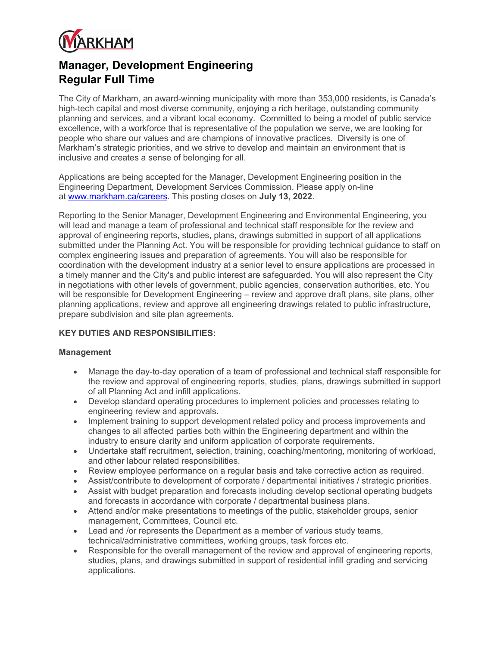

# Manager, Development Engineering Regular Full Time

The City of Markham, an award-winning municipality with more than 353,000 residents, is Canada's high-tech capital and most diverse community, enjoying a rich heritage, outstanding community planning and services, and a vibrant local economy. Committed to being a model of public service excellence, with a workforce that is representative of the population we serve, we are looking for people who share our values and are champions of innovative practices. Diversity is one of Markham's strategic priorities, and we strive to develop and maintain an environment that is inclusive and creates a sense of belonging for all.

Applications are being accepted for the Manager, Development Engineering position in the Engineering Department, Development Services Commission. Please apply on-line at www.markham.ca/careers. This posting closes on July 13, 2022.

Reporting to the Senior Manager, Development Engineering and Environmental Engineering, you will lead and manage a team of professional and technical staff responsible for the review and approval of engineering reports, studies, plans, drawings submitted in support of all applications submitted under the Planning Act. You will be responsible for providing technical guidance to staff on complex engineering issues and preparation of agreements. You will also be responsible for coordination with the development industry at a senior level to ensure applications are processed in a timely manner and the City's and public interest are safeguarded. You will also represent the City in negotiations with other levels of government, public agencies, conservation authorities, etc. You will be responsible for Development Engineering – review and approve draft plans, site plans, other planning applications, review and approve all engineering drawings related to public infrastructure, prepare subdivision and site plan agreements.

# KEY DUTIES AND RESPONSIBILITIES:

### Management

- Manage the day-to-day operation of a team of professional and technical staff responsible for the review and approval of engineering reports, studies, plans, drawings submitted in support of all Planning Act and infill applications.
- Develop standard operating procedures to implement policies and processes relating to engineering review and approvals.
- Implement training to support development related policy and process improvements and changes to all affected parties both within the Engineering department and within the industry to ensure clarity and uniform application of corporate requirements.
- Undertake staff recruitment, selection, training, coaching/mentoring, monitoring of workload, and other labour related responsibilities.
- Review employee performance on a regular basis and take corrective action as required.
- Assist/contribute to development of corporate / departmental initiatives / strategic priorities.
- Assist with budget preparation and forecasts including develop sectional operating budgets and forecasts in accordance with corporate / departmental business plans.
- Attend and/or make presentations to meetings of the public, stakeholder groups, senior management, Committees, Council etc.
- Lead and /or represents the Department as a member of various study teams, technical/administrative committees, working groups, task forces etc.
- Responsible for the overall management of the review and approval of engineering reports, studies, plans, and drawings submitted in support of residential infill grading and servicing applications.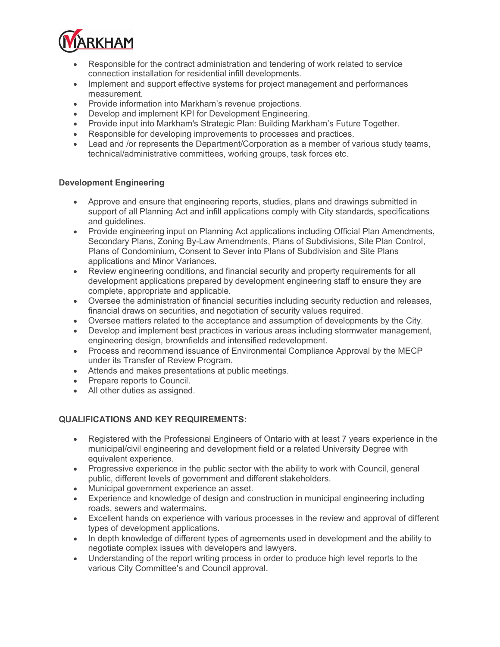

- Responsible for the contract administration and tendering of work related to service connection installation for residential infill developments.
- Implement and support effective systems for project management and performances measurement.
- Provide information into Markham's revenue projections.
- Develop and implement KPI for Development Engineering.
- Provide input into Markham's Strategic Plan: Building Markham's Future Together.
- Responsible for developing improvements to processes and practices.
- Lead and /or represents the Department/Corporation as a member of various study teams, technical/administrative committees, working groups, task forces etc.

## Development Engineering

- Approve and ensure that engineering reports, studies, plans and drawings submitted in support of all Planning Act and infill applications comply with City standards, specifications and guidelines.
- Provide engineering input on Planning Act applications including Official Plan Amendments, Secondary Plans, Zoning By-Law Amendments, Plans of Subdivisions, Site Plan Control, Plans of Condominium, Consent to Sever into Plans of Subdivision and Site Plans applications and Minor Variances.
- Review engineering conditions, and financial security and property requirements for all development applications prepared by development engineering staff to ensure they are complete, appropriate and applicable.
- Oversee the administration of financial securities including security reduction and releases, financial draws on securities, and negotiation of security values required.
- Oversee matters related to the acceptance and assumption of developments by the City.
- Develop and implement best practices in various areas including stormwater management, engineering design, brownfields and intensified redevelopment.
- Process and recommend issuance of Environmental Compliance Approval by the MECP under its Transfer of Review Program.
- Attends and makes presentations at public meetings.
- Prepare reports to Council.
- All other duties as assigned.

# QUALIFICATIONS AND KEY REQUIREMENTS:

- Registered with the Professional Engineers of Ontario with at least 7 years experience in the municipal/civil engineering and development field or a related University Degree with equivalent experience.
- Progressive experience in the public sector with the ability to work with Council, general public, different levels of government and different stakeholders.
- Municipal government experience an asset.
- Experience and knowledge of design and construction in municipal engineering including roads, sewers and watermains.
- Excellent hands on experience with various processes in the review and approval of different types of development applications.
- In depth knowledge of different types of agreements used in development and the ability to negotiate complex issues with developers and lawyers.
- Understanding of the report writing process in order to produce high level reports to the various City Committee's and Council approval.